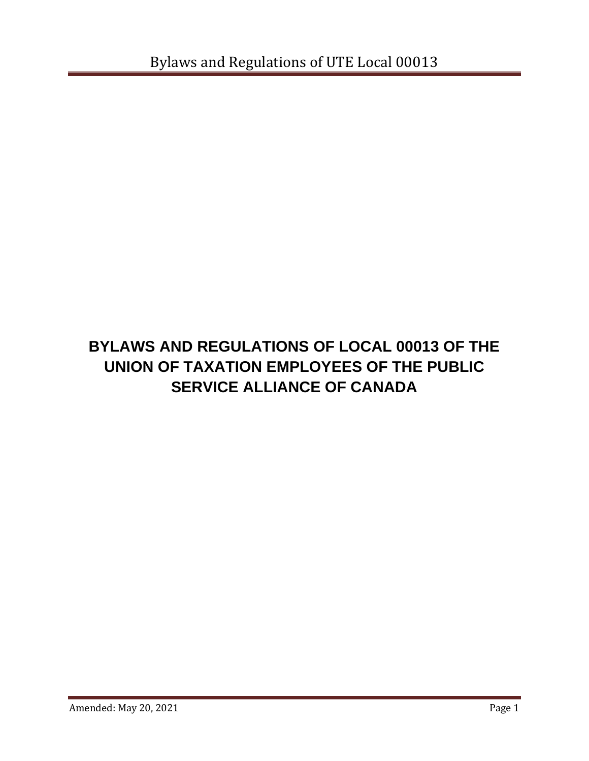# **BYLAWS AND REGULATIONS OF LOCAL 00013 OF THE UNION OF TAXATION EMPLOYEES OF THE PUBLIC SERVICE ALLIANCE OF CANADA**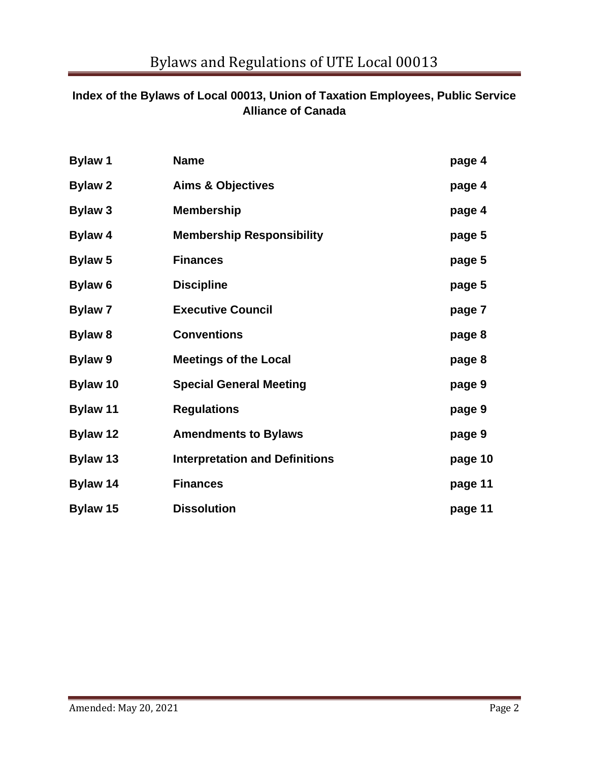# **Index of the Bylaws of Local 00013, Union of Taxation Employees, Public Service Alliance of Canada**

| <b>Bylaw 1</b>  | <b>Name</b>                           | page 4  |
|-----------------|---------------------------------------|---------|
| <b>Bylaw 2</b>  | <b>Aims &amp; Objectives</b>          | page 4  |
| <b>Bylaw 3</b>  | <b>Membership</b>                     | page 4  |
| Bylaw 4         | <b>Membership Responsibility</b>      | page 5  |
| <b>Bylaw 5</b>  | <b>Finances</b>                       | page 5  |
| Bylaw 6         | <b>Discipline</b>                     | page 5  |
| <b>Bylaw 7</b>  | <b>Executive Council</b>              | page 7  |
| <b>Bylaw 8</b>  | <b>Conventions</b>                    | page 8  |
| <b>Bylaw 9</b>  | <b>Meetings of the Local</b>          | page 8  |
| Bylaw 10        | <b>Special General Meeting</b>        | page 9  |
| <b>Bylaw 11</b> | <b>Regulations</b>                    | page 9  |
| <b>Bylaw 12</b> | <b>Amendments to Bylaws</b>           | page 9  |
| Bylaw 13        | <b>Interpretation and Definitions</b> | page 10 |
| Bylaw 14        | <b>Finances</b>                       | page 11 |
| Bylaw 15        | <b>Dissolution</b>                    | page 11 |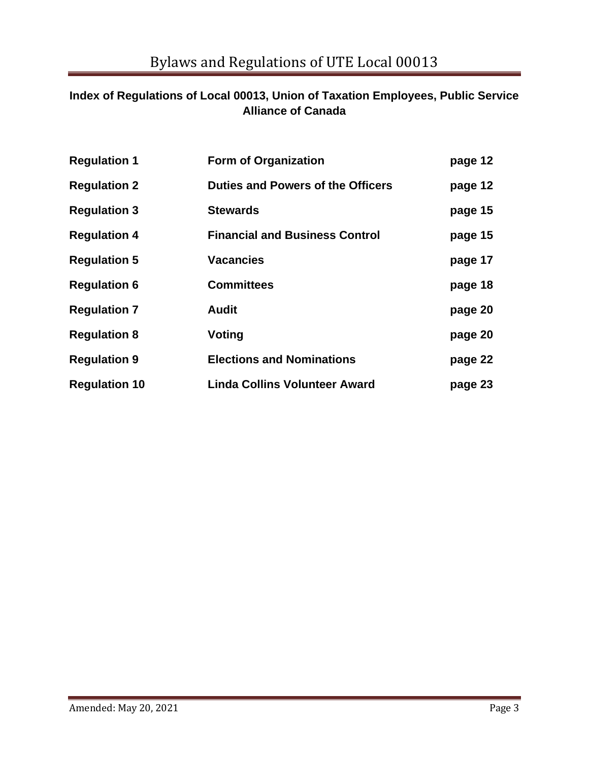# **Index of Regulations of Local 00013, Union of Taxation Employees, Public Service Alliance of Canada**

| <b>Regulation 1</b>  | <b>Form of Organization</b>              | page 12 |
|----------------------|------------------------------------------|---------|
| <b>Regulation 2</b>  | <b>Duties and Powers of the Officers</b> | page 12 |
| <b>Regulation 3</b>  | <b>Stewards</b>                          | page 15 |
| <b>Regulation 4</b>  | <b>Financial and Business Control</b>    | page 15 |
| <b>Regulation 5</b>  | <b>Vacancies</b>                         | page 17 |
| <b>Regulation 6</b>  | <b>Committees</b>                        | page 18 |
| <b>Regulation 7</b>  | <b>Audit</b>                             | page 20 |
| <b>Regulation 8</b>  | Voting                                   | page 20 |
| <b>Regulation 9</b>  | <b>Elections and Nominations</b>         | page 22 |
| <b>Regulation 10</b> | <b>Linda Collins Volunteer Award</b>     | page 23 |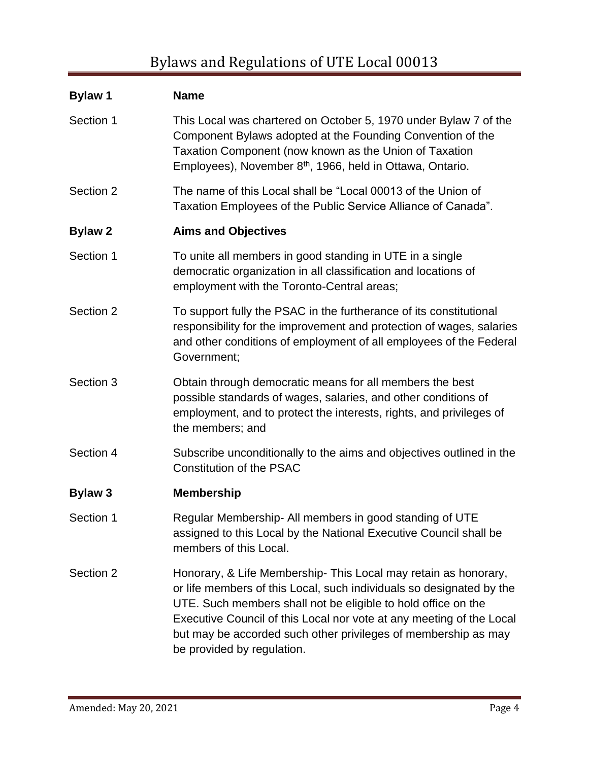# **Bylaw 1 Name** Section 1 This Local was chartered on October 5, 1970 under Bylaw 7 of the Component Bylaws adopted at the Founding Convention of the Taxation Component (now known as the Union of Taxation Employees), November 8<sup>th</sup>, 1966, held in Ottawa, Ontario. Section 2 The name of this Local shall be "Local 00013 of the Union of Taxation Employees of the Public Service Alliance of Canada". **Bylaw 2 Aims and Objectives** Section 1 To unite all members in good standing in UTE in a single democratic organization in all classification and locations of employment with the Toronto-Central areas; Section 2 To support fully the PSAC in the furtherance of its constitutional responsibility for the improvement and protection of wages, salaries and other conditions of employment of all employees of the Federal Government; Section 3 Obtain through democratic means for all members the best possible standards of wages, salaries, and other conditions of employment, and to protect the interests, rights, and privileges of the members; and Section 4 Subscribe unconditionally to the aims and objectives outlined in the Constitution of the PSAC **Bylaw 3 Membership** Section 1 Regular Membership- All members in good standing of UTE assigned to this Local by the National Executive Council shall be members of this Local. Section 2 Honorary, & Life Membership- This Local may retain as honorary, or life members of this Local, such individuals so designated by the UTE. Such members shall not be eligible to hold office on the Executive Council of this Local nor vote at any meeting of the Local but may be accorded such other privileges of membership as may be provided by regulation.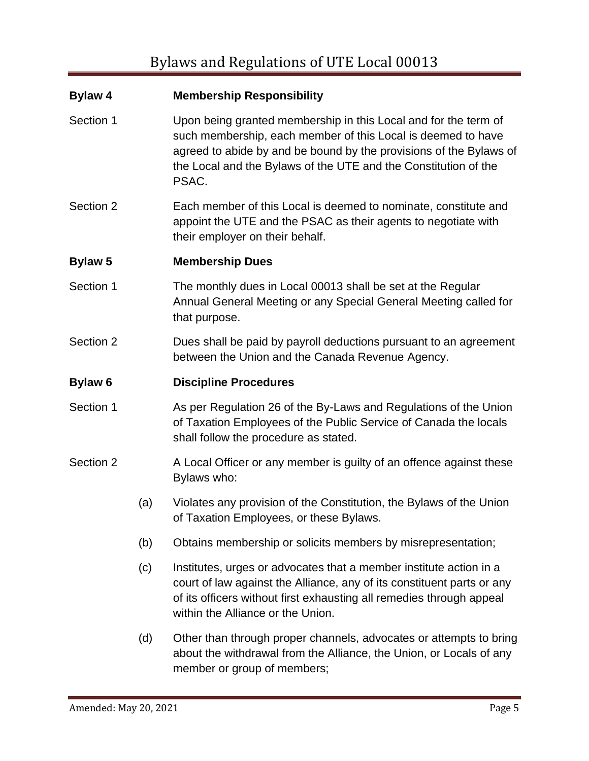| <b>Bylaw 4</b> |     | <b>Membership Responsibility</b>                                                                                                                                                                                                                                                  |
|----------------|-----|-----------------------------------------------------------------------------------------------------------------------------------------------------------------------------------------------------------------------------------------------------------------------------------|
| Section 1      |     | Upon being granted membership in this Local and for the term of<br>such membership, each member of this Local is deemed to have<br>agreed to abide by and be bound by the provisions of the Bylaws of<br>the Local and the Bylaws of the UTE and the Constitution of the<br>PSAC. |
| Section 2      |     | Each member of this Local is deemed to nominate, constitute and<br>appoint the UTE and the PSAC as their agents to negotiate with<br>their employer on their behalf.                                                                                                              |
| <b>Bylaw 5</b> |     | <b>Membership Dues</b>                                                                                                                                                                                                                                                            |
| Section 1      |     | The monthly dues in Local 00013 shall be set at the Regular<br>Annual General Meeting or any Special General Meeting called for<br>that purpose.                                                                                                                                  |
| Section 2      |     | Dues shall be paid by payroll deductions pursuant to an agreement<br>between the Union and the Canada Revenue Agency.                                                                                                                                                             |
| <b>Bylaw 6</b> |     | <b>Discipline Procedures</b>                                                                                                                                                                                                                                                      |
| Section 1      |     | As per Regulation 26 of the By-Laws and Regulations of the Union<br>of Taxation Employees of the Public Service of Canada the locals<br>shall follow the procedure as stated.                                                                                                     |
| Section 2      |     | A Local Officer or any member is guilty of an offence against these<br>Bylaws who:                                                                                                                                                                                                |
|                | (a) | Violates any provision of the Constitution, the Bylaws of the Union<br>of Taxation Employees, or these Bylaws.                                                                                                                                                                    |
|                | (b) | Obtains membership or solicits members by misrepresentation;                                                                                                                                                                                                                      |
|                | (c) | Institutes, urges or advocates that a member institute action in a<br>court of law against the Alliance, any of its constituent parts or any<br>of its officers without first exhausting all remedies through appeal<br>within the Alliance or the Union.                         |
|                | (d) | Other than through proper channels, advocates or attempts to bring<br>about the withdrawal from the Alliance, the Union, or Locals of any<br>member or group of members;                                                                                                          |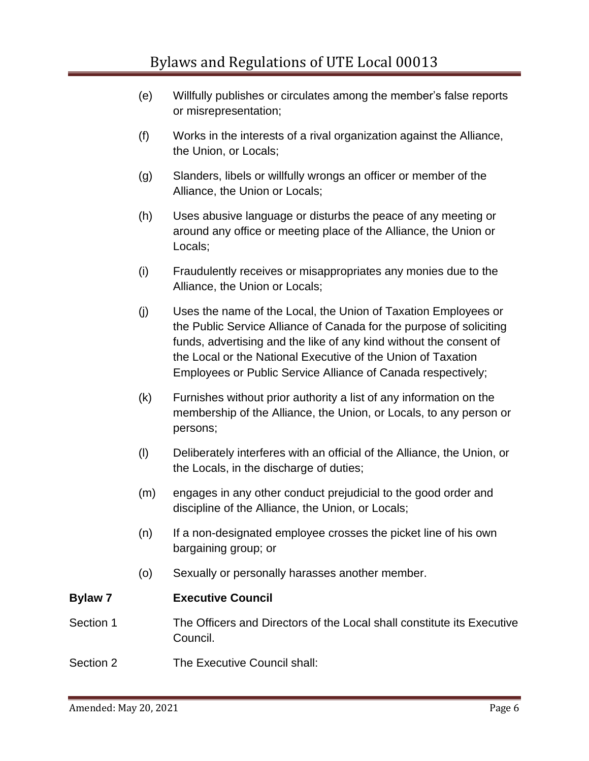- (e) Willfully publishes or circulates among the member's false reports or misrepresentation;
- (f) Works in the interests of a rival organization against the Alliance, the Union, or Locals;
- (g) Slanders, libels or willfully wrongs an officer or member of the Alliance, the Union or Locals;
- (h) Uses abusive language or disturbs the peace of any meeting or around any office or meeting place of the Alliance, the Union or Locals;
- (i) Fraudulently receives or misappropriates any monies due to the Alliance, the Union or Locals;
- (j) Uses the name of the Local, the Union of Taxation Employees or the Public Service Alliance of Canada for the purpose of soliciting funds, advertising and the like of any kind without the consent of the Local or the National Executive of the Union of Taxation Employees or Public Service Alliance of Canada respectively;
- (k) Furnishes without prior authority a list of any information on the membership of the Alliance, the Union, or Locals, to any person or persons;
- (l) Deliberately interferes with an official of the Alliance, the Union, or the Locals, in the discharge of duties;
- (m) engages in any other conduct prejudicial to the good order and discipline of the Alliance, the Union, or Locals;
- (n) If a non-designated employee crosses the picket line of his own bargaining group; or
- (o) Sexually or personally harasses another member.

## **Bylaw 7 Executive Council**

## Section 1 The Officers and Directors of the Local shall constitute its Executive Council.

Section 2 The Executive Council shall: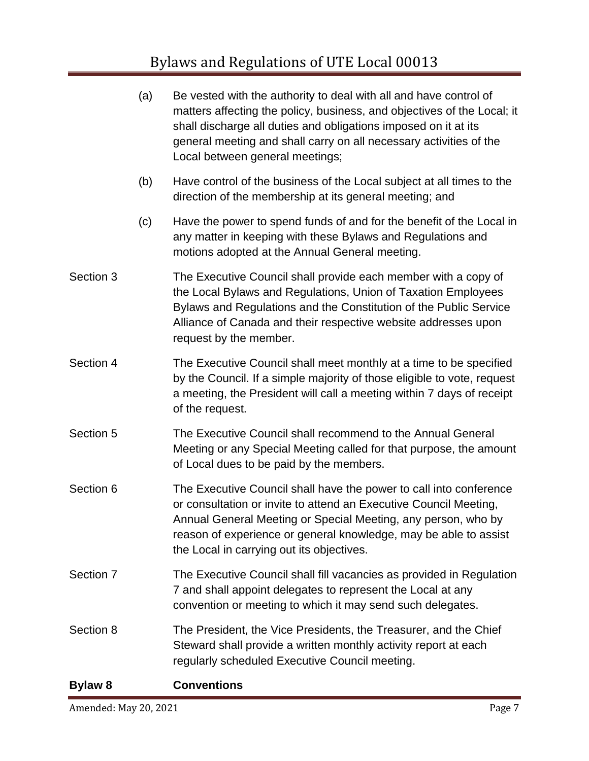# Bylaws and Regulations of UTE Local 00013

|                | (a) | Be vested with the authority to deal with all and have control of<br>matters affecting the policy, business, and objectives of the Local; it<br>shall discharge all duties and obligations imposed on it at its<br>general meeting and shall carry on all necessary activities of the<br>Local between general meetings;  |
|----------------|-----|---------------------------------------------------------------------------------------------------------------------------------------------------------------------------------------------------------------------------------------------------------------------------------------------------------------------------|
|                | (b) | Have control of the business of the Local subject at all times to the<br>direction of the membership at its general meeting; and                                                                                                                                                                                          |
|                | (c) | Have the power to spend funds of and for the benefit of the Local in<br>any matter in keeping with these Bylaws and Regulations and<br>motions adopted at the Annual General meeting.                                                                                                                                     |
| Section 3      |     | The Executive Council shall provide each member with a copy of<br>the Local Bylaws and Regulations, Union of Taxation Employees<br>Bylaws and Regulations and the Constitution of the Public Service<br>Alliance of Canada and their respective website addresses upon<br>request by the member.                          |
| Section 4      |     | The Executive Council shall meet monthly at a time to be specified<br>by the Council. If a simple majority of those eligible to vote, request<br>a meeting, the President will call a meeting within 7 days of receipt<br>of the request.                                                                                 |
| Section 5      |     | The Executive Council shall recommend to the Annual General<br>Meeting or any Special Meeting called for that purpose, the amount<br>of Local dues to be paid by the members.                                                                                                                                             |
| Section 6      |     | The Executive Council shall have the power to call into conference<br>or consultation or invite to attend an Executive Council Meeting,<br>Annual General Meeting or Special Meeting, any person, who by<br>reason of experience or general knowledge, may be able to assist<br>the Local in carrying out its objectives. |
| Section 7      |     | The Executive Council shall fill vacancies as provided in Regulation<br>7 and shall appoint delegates to represent the Local at any<br>convention or meeting to which it may send such delegates.                                                                                                                         |
| Section 8      |     | The President, the Vice Presidents, the Treasurer, and the Chief<br>Steward shall provide a written monthly activity report at each<br>regularly scheduled Executive Council meeting.                                                                                                                                     |
| <b>Bylaw 8</b> |     | <b>Conventions</b>                                                                                                                                                                                                                                                                                                        |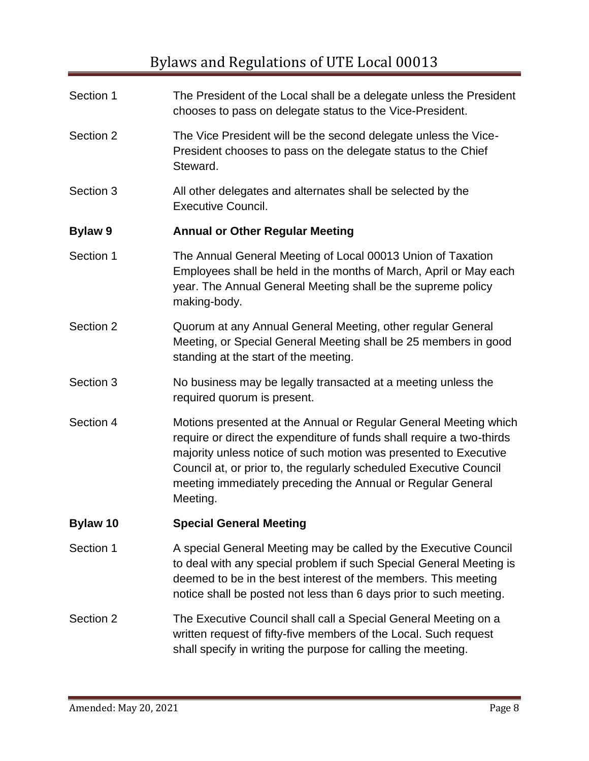# Bylaws and Regulations of UTE Local 00013

| Section 1      | The President of the Local shall be a delegate unless the President<br>chooses to pass on delegate status to the Vice-President.                                                                                                                                                                                                                               |
|----------------|----------------------------------------------------------------------------------------------------------------------------------------------------------------------------------------------------------------------------------------------------------------------------------------------------------------------------------------------------------------|
| Section 2      | The Vice President will be the second delegate unless the Vice-<br>President chooses to pass on the delegate status to the Chief<br>Steward.                                                                                                                                                                                                                   |
| Section 3      | All other delegates and alternates shall be selected by the<br><b>Executive Council.</b>                                                                                                                                                                                                                                                                       |
| <b>Bylaw 9</b> | <b>Annual or Other Regular Meeting</b>                                                                                                                                                                                                                                                                                                                         |
| Section 1      | The Annual General Meeting of Local 00013 Union of Taxation<br>Employees shall be held in the months of March, April or May each<br>year. The Annual General Meeting shall be the supreme policy<br>making-body.                                                                                                                                               |
| Section 2      | Quorum at any Annual General Meeting, other regular General<br>Meeting, or Special General Meeting shall be 25 members in good<br>standing at the start of the meeting.                                                                                                                                                                                        |
| Section 3      | No business may be legally transacted at a meeting unless the<br>required quorum is present.                                                                                                                                                                                                                                                                   |
| Section 4      | Motions presented at the Annual or Regular General Meeting which<br>require or direct the expenditure of funds shall require a two-thirds<br>majority unless notice of such motion was presented to Executive<br>Council at, or prior to, the regularly scheduled Executive Council<br>meeting immediately preceding the Annual or Regular General<br>Meeting. |
| Bylaw 10       | <b>Special General Meeting</b>                                                                                                                                                                                                                                                                                                                                 |
| Section 1      | A special General Meeting may be called by the Executive Council<br>to deal with any special problem if such Special General Meeting is<br>deemed to be in the best interest of the members. This meeting<br>notice shall be posted not less than 6 days prior to such meeting.                                                                                |
| Section 2      | The Executive Council shall call a Special General Meeting on a<br>written request of fifty-five members of the Local. Such request<br>shall specify in writing the purpose for calling the meeting.                                                                                                                                                           |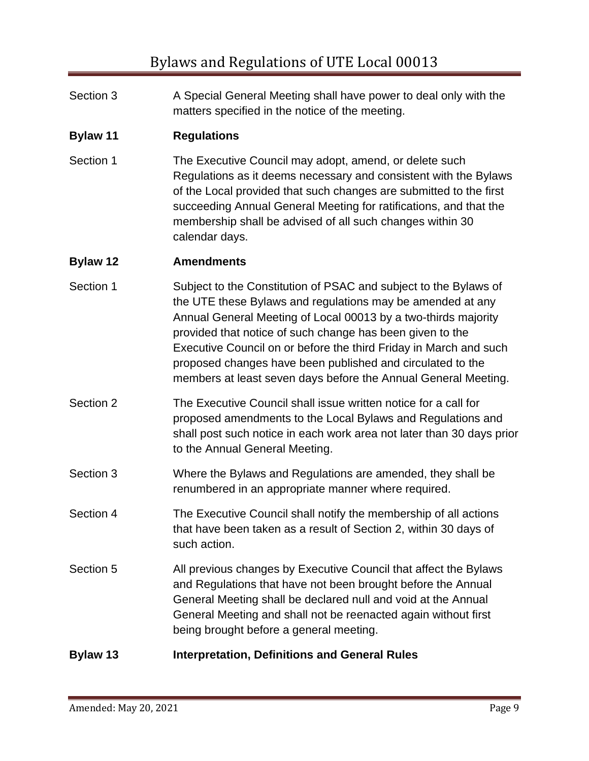| Section 3 | A Special General Meeting shall have power to deal only with the |
|-----------|------------------------------------------------------------------|
|           | matters specified in the notice of the meeting.                  |

# **Bylaw 11 Regulations**

Section 1 The Executive Council may adopt, amend, or delete such Regulations as it deems necessary and consistent with the Bylaws of the Local provided that such changes are submitted to the first succeeding Annual General Meeting for ratifications, and that the membership shall be advised of all such changes within 30 calendar days.

## **Bylaw 12 Amendments**

- Section 1 Subject to the Constitution of PSAC and subject to the Bylaws of the UTE these Bylaws and regulations may be amended at any Annual General Meeting of Local 00013 by a two-thirds majority provided that notice of such change has been given to the Executive Council on or before the third Friday in March and such proposed changes have been published and circulated to the members at least seven days before the Annual General Meeting.
- Section 2 The Executive Council shall issue written notice for a call for proposed amendments to the Local Bylaws and Regulations and shall post such notice in each work area not later than 30 days prior to the Annual General Meeting.
- Section 3 Where the Bylaws and Regulations are amended, they shall be renumbered in an appropriate manner where required.
- Section 4 The Executive Council shall notify the membership of all actions that have been taken as a result of Section 2, within 30 days of such action.
- Section 5 All previous changes by Executive Council that affect the Bylaws and Regulations that have not been brought before the Annual General Meeting shall be declared null and void at the Annual General Meeting and shall not be reenacted again without first being brought before a general meeting.

## **Bylaw 13 Interpretation, Definitions and General Rules**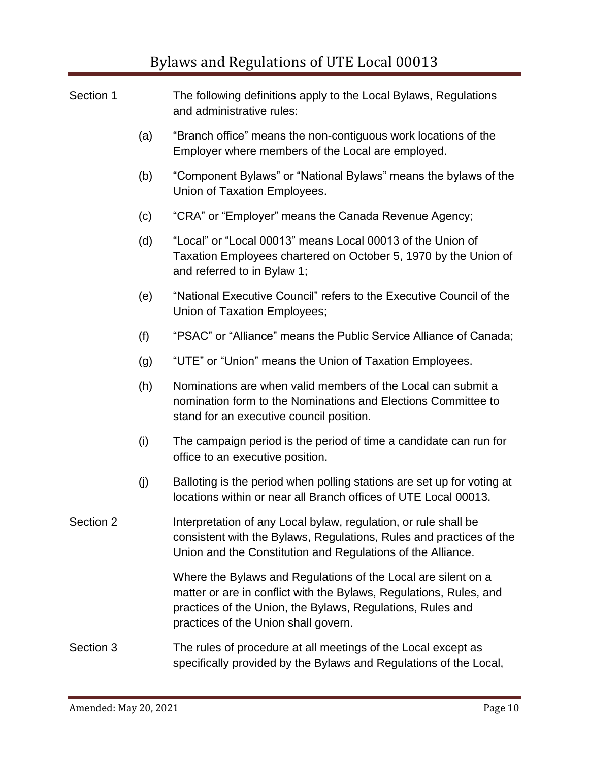| Section 1 |     | The following definitions apply to the Local Bylaws, Regulations<br>and administrative rules:                                                                                                                                             |
|-----------|-----|-------------------------------------------------------------------------------------------------------------------------------------------------------------------------------------------------------------------------------------------|
|           | (a) | "Branch office" means the non-contiguous work locations of the<br>Employer where members of the Local are employed.                                                                                                                       |
|           | (b) | "Component Bylaws" or "National Bylaws" means the bylaws of the<br>Union of Taxation Employees.                                                                                                                                           |
|           | (c) | "CRA" or "Employer" means the Canada Revenue Agency;                                                                                                                                                                                      |
|           | (d) | "Local" or "Local 00013" means Local 00013 of the Union of<br>Taxation Employees chartered on October 5, 1970 by the Union of<br>and referred to in Bylaw 1;                                                                              |
|           | (e) | "National Executive Council" refers to the Executive Council of the<br>Union of Taxation Employees;                                                                                                                                       |
|           | (f) | "PSAC" or "Alliance" means the Public Service Alliance of Canada;                                                                                                                                                                         |
|           | (g) | "UTE" or "Union" means the Union of Taxation Employees.                                                                                                                                                                                   |
|           | (h) | Nominations are when valid members of the Local can submit a<br>nomination form to the Nominations and Elections Committee to<br>stand for an executive council position.                                                                 |
|           | (i) | The campaign period is the period of time a candidate can run for<br>office to an executive position.                                                                                                                                     |
|           | (j) | Balloting is the period when polling stations are set up for voting at<br>locations within or near all Branch offices of UTE Local 00013.                                                                                                 |
| Section 2 |     | Interpretation of any Local bylaw, regulation, or rule shall be<br>consistent with the Bylaws, Regulations, Rules and practices of the<br>Union and the Constitution and Regulations of the Alliance.                                     |
|           |     | Where the Bylaws and Regulations of the Local are silent on a<br>matter or are in conflict with the Bylaws, Regulations, Rules, and<br>practices of the Union, the Bylaws, Regulations, Rules and<br>practices of the Union shall govern. |
| Section 3 |     | The rules of procedure at all meetings of the Local except as<br>specifically provided by the Bylaws and Regulations of the Local,                                                                                                        |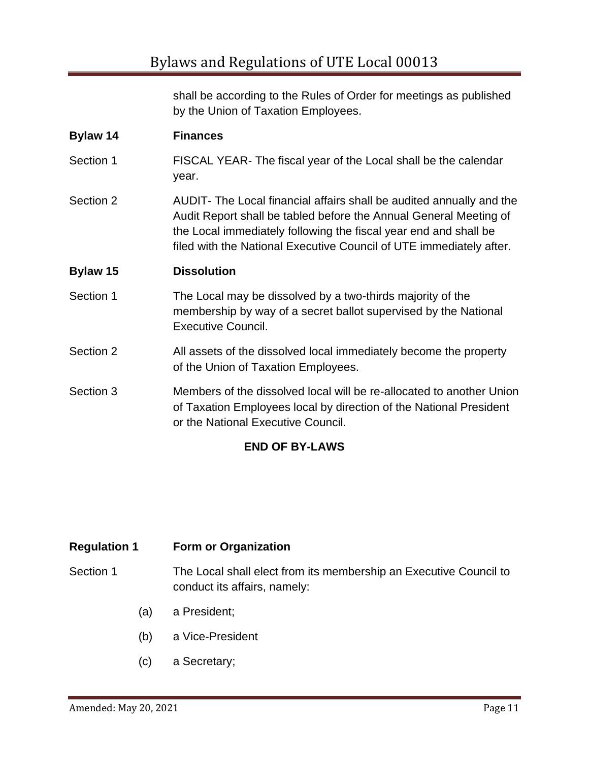shall be according to the Rules of Order for meetings as published by the Union of Taxation Employees.

| Bylaw 14  | <b>Finances</b>                                                                                                                                                                                                                                                                      |
|-----------|--------------------------------------------------------------------------------------------------------------------------------------------------------------------------------------------------------------------------------------------------------------------------------------|
| Section 1 | FISCAL YEAR- The fiscal year of the Local shall be the calendar<br>year.                                                                                                                                                                                                             |
| Section 2 | AUDIT- The Local financial affairs shall be audited annually and the<br>Audit Report shall be tabled before the Annual General Meeting of<br>the Local immediately following the fiscal year end and shall be<br>filed with the National Executive Council of UTE immediately after. |
| Bylaw 15  | <b>Dissolution</b>                                                                                                                                                                                                                                                                   |
| Section 1 | The Local may be dissolved by a two-thirds majority of the<br>membership by way of a secret ballot supervised by the National<br><b>Executive Council.</b>                                                                                                                           |
| Section 2 | All assets of the dissolved local immediately become the property<br>of the Union of Taxation Employees.                                                                                                                                                                             |
| Section 3 | Members of the dissolved local will be re-allocated to another Union<br>of Taxation Employees local by direction of the National President<br>or the National Executive Council.                                                                                                     |

# **END OF BY-LAWS**

| <b>Regulation 1</b> | <b>Form or Organization</b>                                                                       |
|---------------------|---------------------------------------------------------------------------------------------------|
| Section 1           | The Local shall elect from its membership an Executive Council to<br>conduct its affairs, namely: |
| (a)                 | a President;                                                                                      |
| (b)                 | a Vice-President                                                                                  |

(c) a Secretary;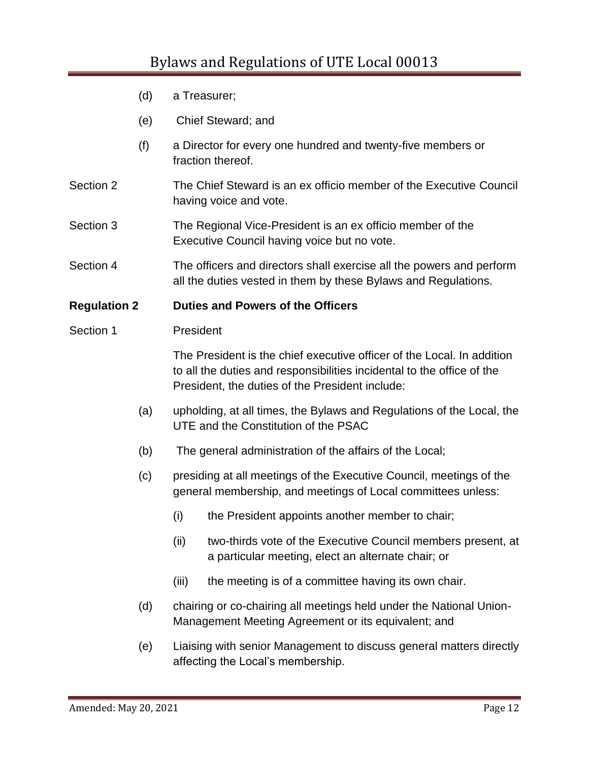# Bylaws and Regulations of UTE Local 00013

- (d) a Treasurer;
- (e) Chief Steward; and
- (f) a Director for every one hundred and twenty-five members or fraction thereof.
- Section 2 The Chief Steward is an ex officio member of the Executive Council having voice and vote.
- Section 3 The Regional Vice-President is an ex officio member of the Executive Council having voice but no vote.
- Section 4 The officers and directors shall exercise all the powers and perform all the duties vested in them by these Bylaws and Regulations.

#### **Regulation 2 Duties and Powers of the Officers**

#### Section 1 President

The President is the chief executive officer of the Local. In addition to all the duties and responsibilities incidental to the office of the President, the duties of the President include:

- (a) upholding, at all times, the Bylaws and Regulations of the Local, the UTE and the Constitution of the PSAC
- (b) The general administration of the affairs of the Local;
- (c) presiding at all meetings of the Executive Council, meetings of the general membership, and meetings of Local committees unless:
	- (i) the President appoints another member to chair;
	- (ii) two-thirds vote of the Executive Council members present, at a particular meeting, elect an alternate chair; or
	- (iii) the meeting is of a committee having its own chair.
- (d) chairing or co-chairing all meetings held under the National Union-Management Meeting Agreement or its equivalent; and
- (e) Liaising with senior Management to discuss general matters directly affecting the Local's membership.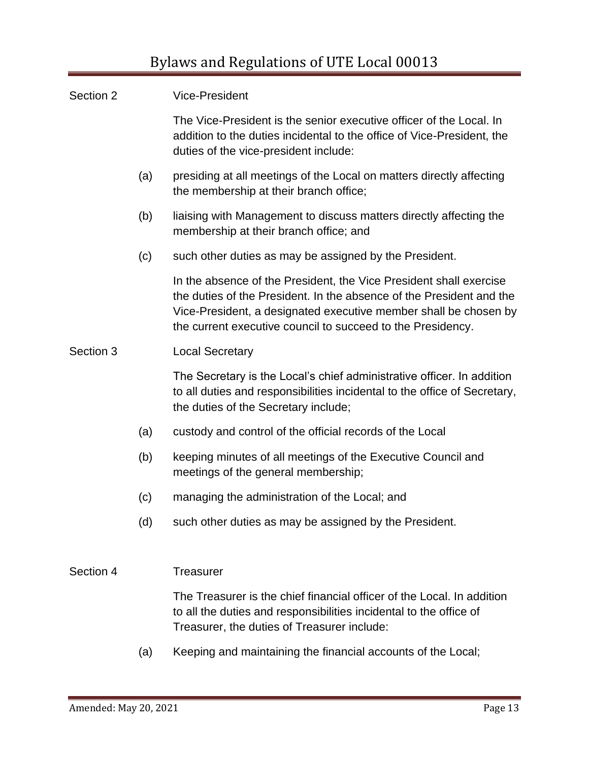| Section 2 |     | <b>Vice-President</b>                                                                                                                                                                                                                                                         |
|-----------|-----|-------------------------------------------------------------------------------------------------------------------------------------------------------------------------------------------------------------------------------------------------------------------------------|
|           |     | The Vice-President is the senior executive officer of the Local. In<br>addition to the duties incidental to the office of Vice-President, the<br>duties of the vice-president include:                                                                                        |
|           | (a) | presiding at all meetings of the Local on matters directly affecting<br>the membership at their branch office;                                                                                                                                                                |
|           | (b) | liaising with Management to discuss matters directly affecting the<br>membership at their branch office; and                                                                                                                                                                  |
|           | (c) | such other duties as may be assigned by the President.                                                                                                                                                                                                                        |
|           |     | In the absence of the President, the Vice President shall exercise<br>the duties of the President. In the absence of the President and the<br>Vice-President, a designated executive member shall be chosen by<br>the current executive council to succeed to the Presidency. |
| Section 3 |     | <b>Local Secretary</b>                                                                                                                                                                                                                                                        |
|           |     | The Secretary is the Local's chief administrative officer. In addition<br>to all duties and responsibilities incidental to the office of Secretary,<br>the duties of the Secretary include;                                                                                   |
|           | (a) | custody and control of the official records of the Local                                                                                                                                                                                                                      |
|           | (b) | keeping minutes of all meetings of the Executive Council and<br>meetings of the general membership;                                                                                                                                                                           |
|           | (c) | managing the administration of the Local; and                                                                                                                                                                                                                                 |
|           | (d) | such other duties as may be assigned by the President.                                                                                                                                                                                                                        |
|           |     |                                                                                                                                                                                                                                                                               |
| Section 4 |     | <b>Treasurer</b>                                                                                                                                                                                                                                                              |
|           |     | The Treasurer is the chief financial officer of the Local. In addition<br>to all the duties and responsibilities incidental to the office of<br>Treasurer, the duties of Treasurer include:                                                                                   |
|           |     |                                                                                                                                                                                                                                                                               |

(a) Keeping and maintaining the financial accounts of the Local;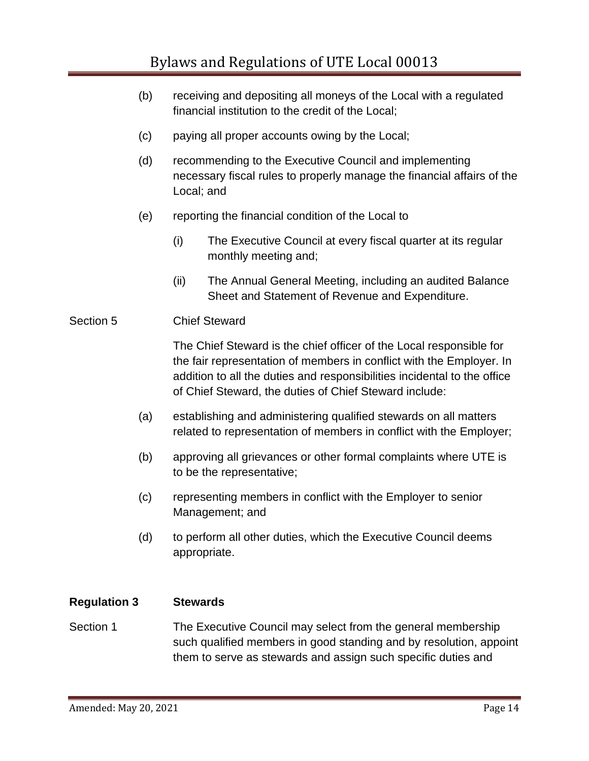- (b) receiving and depositing all moneys of the Local with a regulated financial institution to the credit of the Local;
- (c) paying all proper accounts owing by the Local;
- (d) recommending to the Executive Council and implementing necessary fiscal rules to properly manage the financial affairs of the Local; and
- (e) reporting the financial condition of the Local to
	- (i) The Executive Council at every fiscal quarter at its regular monthly meeting and;
	- (ii) The Annual General Meeting, including an audited Balance Sheet and Statement of Revenue and Expenditure.

## Section 5 Chief Steward

The Chief Steward is the chief officer of the Local responsible for the fair representation of members in conflict with the Employer. In addition to all the duties and responsibilities incidental to the office of Chief Steward, the duties of Chief Steward include:

- (a) establishing and administering qualified stewards on all matters related to representation of members in conflict with the Employer;
- (b) approving all grievances or other formal complaints where UTE is to be the representative;
- (c) representing members in conflict with the Employer to senior Management; and
- (d) to perform all other duties, which the Executive Council deems appropriate.

## **Regulation 3 Stewards**

Section 1 The Executive Council may select from the general membership such qualified members in good standing and by resolution, appoint them to serve as stewards and assign such specific duties and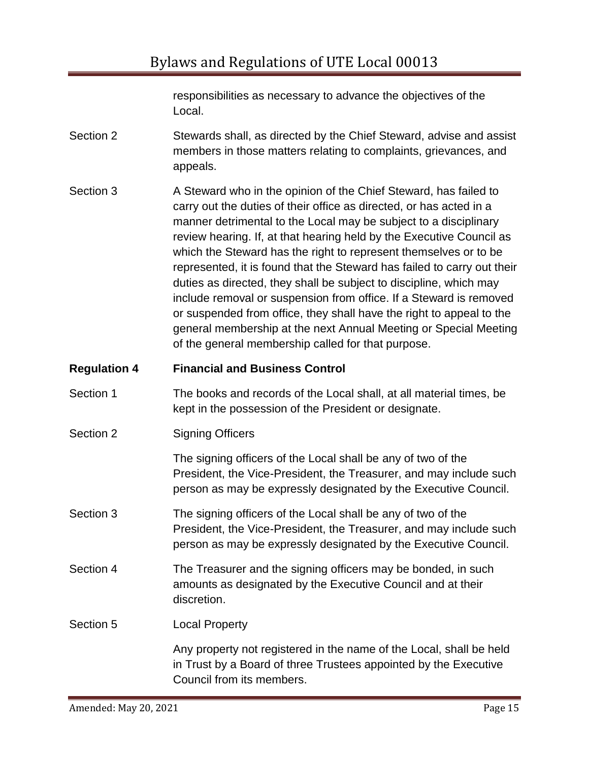responsibilities as necessary to advance the objectives of the Local.

- Section 2 Stewards shall, as directed by the Chief Steward, advise and assist members in those matters relating to complaints, grievances, and appeals.
- Section 3 A Steward who in the opinion of the Chief Steward, has failed to carry out the duties of their office as directed, or has acted in a manner detrimental to the Local may be subject to a disciplinary review hearing. If, at that hearing held by the Executive Council as which the Steward has the right to represent themselves or to be represented, it is found that the Steward has failed to carry out their duties as directed, they shall be subject to discipline, which may include removal or suspension from office. If a Steward is removed or suspended from office, they shall have the right to appeal to the general membership at the next Annual Meeting or Special Meeting of the general membership called for that purpose.

## **Regulation 4 Financial and Business Control**

- Section 1 The books and records of the Local shall, at all material times, be kept in the possession of the President or designate.
- Section 2 Signing Officers

The signing officers of the Local shall be any of two of the President, the Vice-President, the Treasurer, and may include such person as may be expressly designated by the Executive Council.

- Section 3 The signing officers of the Local shall be any of two of the President, the Vice-President, the Treasurer, and may include such person as may be expressly designated by the Executive Council.
- Section 4 The Treasurer and the signing officers may be bonded, in such amounts as designated by the Executive Council and at their discretion.

# Section 5 Local Property

Any property not registered in the name of the Local, shall be held in Trust by a Board of three Trustees appointed by the Executive Council from its members.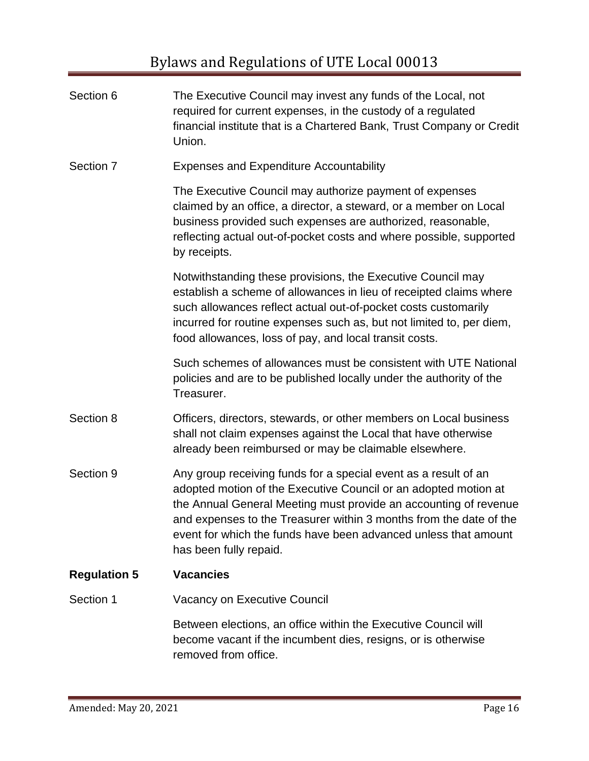| Section 6           | The Executive Council may invest any funds of the Local, not<br>required for current expenses, in the custody of a regulated<br>financial institute that is a Chartered Bank, Trust Company or Credit<br>Union.                                                                                                                                                           |
|---------------------|---------------------------------------------------------------------------------------------------------------------------------------------------------------------------------------------------------------------------------------------------------------------------------------------------------------------------------------------------------------------------|
| Section 7           | <b>Expenses and Expenditure Accountability</b>                                                                                                                                                                                                                                                                                                                            |
|                     | The Executive Council may authorize payment of expenses<br>claimed by an office, a director, a steward, or a member on Local<br>business provided such expenses are authorized, reasonable,<br>reflecting actual out-of-pocket costs and where possible, supported<br>by receipts.                                                                                        |
|                     | Notwithstanding these provisions, the Executive Council may<br>establish a scheme of allowances in lieu of receipted claims where<br>such allowances reflect actual out-of-pocket costs customarily<br>incurred for routine expenses such as, but not limited to, per diem,<br>food allowances, loss of pay, and local transit costs.                                     |
|                     | Such schemes of allowances must be consistent with UTE National<br>policies and are to be published locally under the authority of the<br>Treasurer.                                                                                                                                                                                                                      |
| Section 8           | Officers, directors, stewards, or other members on Local business<br>shall not claim expenses against the Local that have otherwise<br>already been reimbursed or may be claimable elsewhere.                                                                                                                                                                             |
| Section 9           | Any group receiving funds for a special event as a result of an<br>adopted motion of the Executive Council or an adopted motion at<br>the Annual General Meeting must provide an accounting of revenue<br>and expenses to the Treasurer within 3 months from the date of the<br>event for which the funds have been advanced unless that amount<br>has been fully repaid. |
| <b>Regulation 5</b> | <b>Vacancies</b>                                                                                                                                                                                                                                                                                                                                                          |
| Section 1           | Vacancy on Executive Council                                                                                                                                                                                                                                                                                                                                              |
|                     | Between elections, an office within the Executive Council will<br>become vacant if the incumbent dies, resigns, or is otherwise<br>removed from office.                                                                                                                                                                                                                   |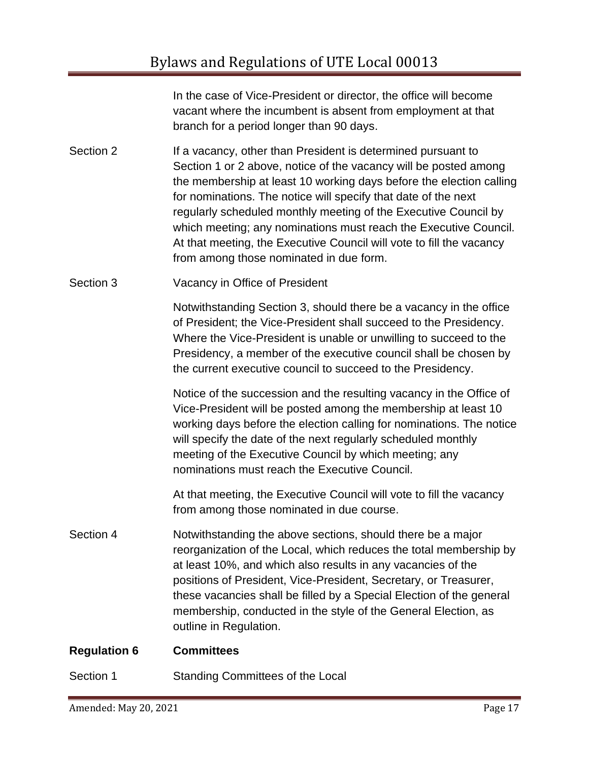In the case of Vice-President or director, the office will become vacant where the incumbent is absent from employment at that branch for a period longer than 90 days.

Section 2 If a vacancy, other than President is determined pursuant to Section 1 or 2 above, notice of the vacancy will be posted among the membership at least 10 working days before the election calling for nominations. The notice will specify that date of the next regularly scheduled monthly meeting of the Executive Council by which meeting; any nominations must reach the Executive Council. At that meeting, the Executive Council will vote to fill the vacancy from among those nominated in due form.

Section 3 Vacancy in Office of President

Notwithstanding Section 3, should there be a vacancy in the office of President; the Vice-President shall succeed to the Presidency. Where the Vice-President is unable or unwilling to succeed to the Presidency, a member of the executive council shall be chosen by the current executive council to succeed to the Presidency.

Notice of the succession and the resulting vacancy in the Office of Vice-President will be posted among the membership at least 10 working days before the election calling for nominations. The notice will specify the date of the next regularly scheduled monthly meeting of the Executive Council by which meeting; any nominations must reach the Executive Council.

At that meeting, the Executive Council will vote to fill the vacancy from among those nominated in due course.

Section 4 Notwithstanding the above sections, should there be a major reorganization of the Local, which reduces the total membership by at least 10%, and which also results in any vacancies of the positions of President, Vice-President, Secretary, or Treasurer, these vacancies shall be filled by a Special Election of the general membership, conducted in the style of the General Election, as outline in Regulation.

#### **Regulation 6 Committees**

Section 1 Standing Committees of the Local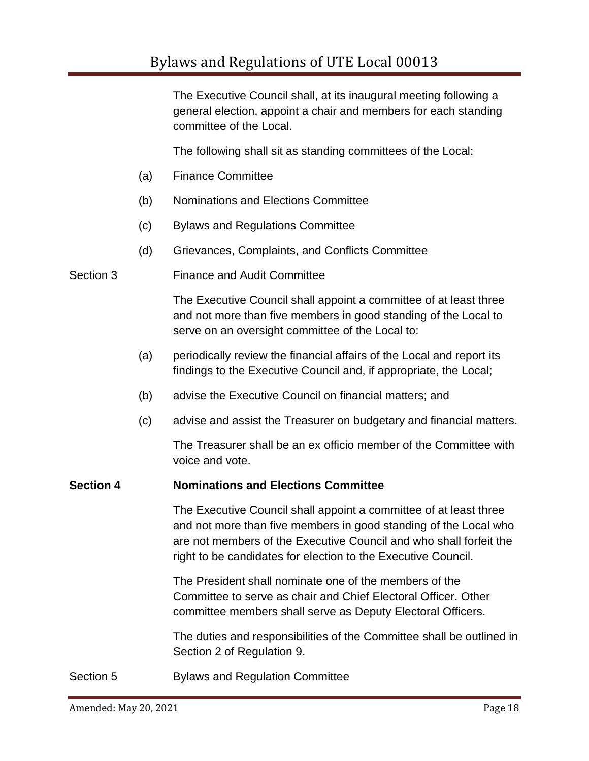The Executive Council shall, at its inaugural meeting following a general election, appoint a chair and members for each standing committee of the Local.

The following shall sit as standing committees of the Local:

- (a) Finance Committee
- (b) Nominations and Elections Committee
- (c) Bylaws and Regulations Committee
- (d) Grievances, Complaints, and Conflicts Committee

Section 3 Finance and Audit Committee

The Executive Council shall appoint a committee of at least three and not more than five members in good standing of the Local to serve on an oversight committee of the Local to:

- (a) periodically review the financial affairs of the Local and report its findings to the Executive Council and, if appropriate, the Local;
- (b) advise the Executive Council on financial matters; and
- (c) advise and assist the Treasurer on budgetary and financial matters.

The Treasurer shall be an ex officio member of the Committee with voice and vote.

#### **Section 4 Nominations and Elections Committee**

The Executive Council shall appoint a committee of at least three and not more than five members in good standing of the Local who are not members of the Executive Council and who shall forfeit the right to be candidates for election to the Executive Council.

The President shall nominate one of the members of the Committee to serve as chair and Chief Electoral Officer. Other committee members shall serve as Deputy Electoral Officers.

The duties and responsibilities of the Committee shall be outlined in Section 2 of Regulation 9.

Section 5 Bylaws and Regulation Committee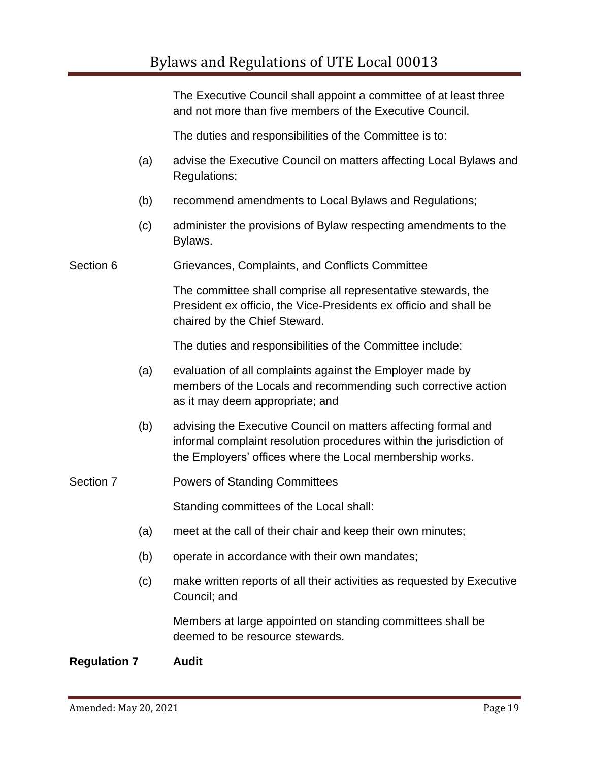The Executive Council shall appoint a committee of at least three and not more than five members of the Executive Council.

The duties and responsibilities of the Committee is to:

- (a) advise the Executive Council on matters affecting Local Bylaws and Regulations;
- (b) recommend amendments to Local Bylaws and Regulations;
- (c) administer the provisions of Bylaw respecting amendments to the Bylaws.

Section 6 **Grievances, Complaints, and Conflicts Committee** 

The committee shall comprise all representative stewards, the President ex officio, the Vice-Presidents ex officio and shall be chaired by the Chief Steward.

The duties and responsibilities of the Committee include:

- (a) evaluation of all complaints against the Employer made by members of the Locals and recommending such corrective action as it may deem appropriate; and
- (b) advising the Executive Council on matters affecting formal and informal complaint resolution procedures within the jurisdiction of the Employers' offices where the Local membership works.

#### Section 7 **Powers of Standing Committees**

Standing committees of the Local shall:

- (a) meet at the call of their chair and keep their own minutes;
- (b) operate in accordance with their own mandates;
- (c) make written reports of all their activities as requested by Executive Council; and

Members at large appointed on standing committees shall be deemed to be resource stewards.

#### **Regulation 7 Audit**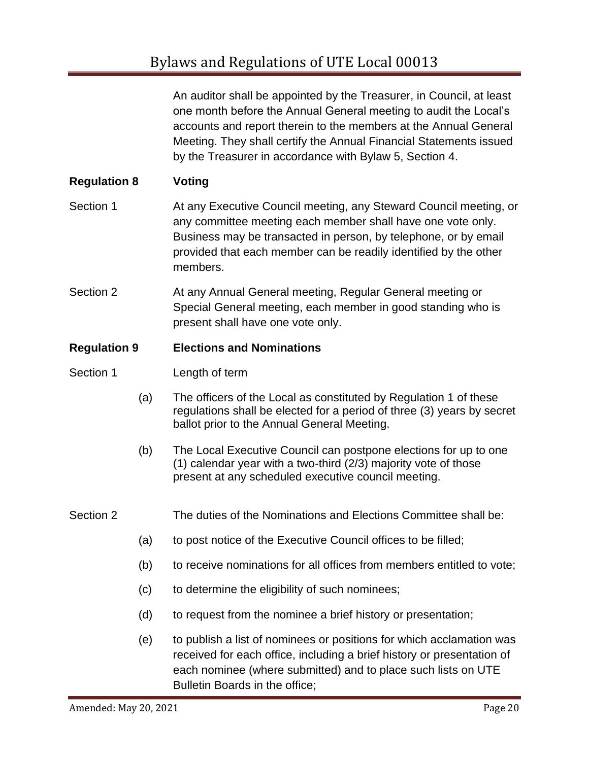An auditor shall be appointed by the Treasurer, in Council, at least one month before the Annual General meeting to audit the Local's accounts and report therein to the members at the Annual General Meeting. They shall certify the Annual Financial Statements issued by the Treasurer in accordance with Bylaw 5, Section 4.

## **Regulation 8 Voting**

- Section 1 **At any Executive Council meeting, any Steward Council meeting, or** any committee meeting each member shall have one vote only. Business may be transacted in person, by telephone, or by email provided that each member can be readily identified by the other members.
- Section 2 **At any Annual General meeting, Regular General meeting or** Special General meeting, each member in good standing who is present shall have one vote only.

#### **Regulation 9 Elections and Nominations**

- Section 1 Length of term
	- (a) The officers of the Local as constituted by Regulation 1 of these regulations shall be elected for a period of three (3) years by secret ballot prior to the Annual General Meeting.
	- (b) The Local Executive Council can postpone elections for up to one (1) calendar year with a two-third (2/3) majority vote of those present at any scheduled executive council meeting.
- Section 2 The duties of the Nominations and Elections Committee shall be:
	- (a) to post notice of the Executive Council offices to be filled;
	- (b) to receive nominations for all offices from members entitled to vote;
	- (c) to determine the eligibility of such nominees;
	- (d) to request from the nominee a brief history or presentation;
	- (e) to publish a list of nominees or positions for which acclamation was received for each office, including a brief history or presentation of each nominee (where submitted) and to place such lists on UTE Bulletin Boards in the office;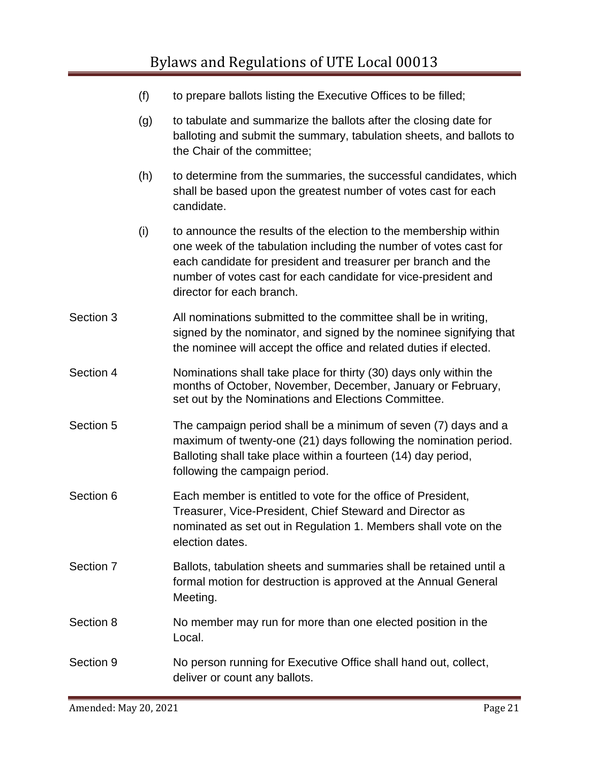- (f) to prepare ballots listing the Executive Offices to be filled;
- (g) to tabulate and summarize the ballots after the closing date for balloting and submit the summary, tabulation sheets, and ballots to the Chair of the committee;
- (h) to determine from the summaries, the successful candidates, which shall be based upon the greatest number of votes cast for each candidate.
- (i) to announce the results of the election to the membership within one week of the tabulation including the number of votes cast for each candidate for president and treasurer per branch and the number of votes cast for each candidate for vice-president and director for each branch.
- Section 3 All nominations submitted to the committee shall be in writing, signed by the nominator, and signed by the nominee signifying that the nominee will accept the office and related duties if elected.
- Section 4 Nominations shall take place for thirty (30) days only within the months of October, November, December, January or February, set out by the Nominations and Elections Committee.
- Section 5 The campaign period shall be a minimum of seven (7) days and a maximum of twenty-one (21) days following the nomination period. Balloting shall take place within a fourteen (14) day period, following the campaign period.
- Section 6 Each member is entitled to vote for the office of President, Treasurer, Vice-President, Chief Steward and Director as nominated as set out in Regulation 1. Members shall vote on the election dates.
- Section 7 Ballots, tabulation sheets and summaries shall be retained until a formal motion for destruction is approved at the Annual General Meeting.
- Section 8 No member may run for more than one elected position in the Local.
- Section 9 No person running for Executive Office shall hand out, collect, deliver or count any ballots.